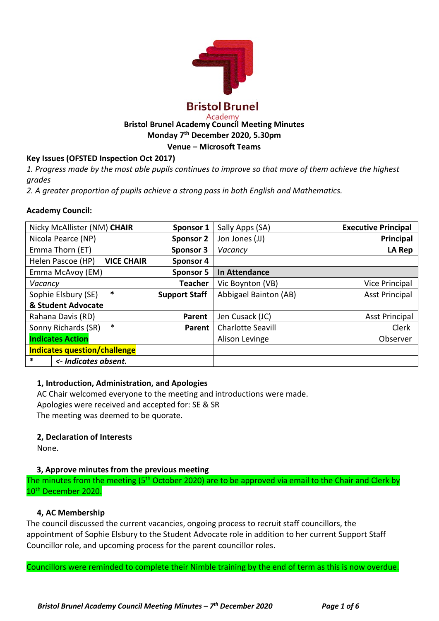

#### Academy Bristol Brunel Academy Council Meeting Minutes

Monday 7th December 2020, 5.30pm

### Venue – Microsoft Teams

# Key Issues (OFSTED Inspection Oct 2017)

1. Progress made by the most able pupils continues to improve so that more of them achieve the highest grades

2. A greater proportion of pupils achieve a strong pass in both English and Mathematics.

### Academy Council:

| Nicky McAllister (NM) CHAIR            | Sponsor 1            | Sally Apps (SA)          | <b>Executive Principal</b> |
|----------------------------------------|----------------------|--------------------------|----------------------------|
| Nicola Pearce (NP)                     | <b>Sponsor 2</b>     | Jon Jones (JJ)           | Principal                  |
| Emma Thorn (ET)                        | <b>Sponsor 3</b>     | Vacancy                  | LA Rep                     |
| <b>VICE CHAIR</b><br>Helen Pascoe (HP) | Sponsor 4            |                          |                            |
| Emma McAvoy (EM)                       | <b>Sponsor 5</b>     | In Attendance            |                            |
| Vacancy                                | <b>Teacher</b>       | Vic Boynton (VB)         | <b>Vice Principal</b>      |
| *<br>Sophie Elsbury (SE)               | <b>Support Staff</b> | Abbigael Bainton (AB)    | <b>Asst Principal</b>      |
| & Student Advocate                     |                      |                          |                            |
| Rahana Davis (RD)                      | Parent               | Jen Cusack (JC)          | <b>Asst Principal</b>      |
| $\ast$<br>Sonny Richards (SR)          | Parent               | <b>Charlotte Seavill</b> | Clerk                      |
| <b>Indicates Action</b>                |                      | Alison Levinge           | Observer                   |
| <b>Indicates question/challenge</b>    |                      |                          |                            |
| *<br><- Indicates absent.              |                      |                          |                            |

# 1, Introduction, Administration, and Apologies

AC Chair welcomed everyone to the meeting and introductions were made. Apologies were received and accepted for: SE & SR The meeting was deemed to be quorate.

# 2, Declaration of Interests

None.

# 3, Approve minutes from the previous meeting

The minutes from the meeting (5<sup>th</sup> October 2020) are to be approved via email to the Chair and Clerk by 10<sup>th</sup> December 2020.

#### 4, AC Membership

The council discussed the current vacancies, ongoing process to recruit staff councillors, the appointment of Sophie Elsbury to the Student Advocate role in addition to her current Support Staff Councillor role, and upcoming process for the parent councillor roles.

Councillors were reminded to complete their Nimble training by the end of term as this is now overdue.

Bristol Brunel Academy Council Meeting Minutes –  $7<sup>th</sup>$  December 2020 Page 1 of 6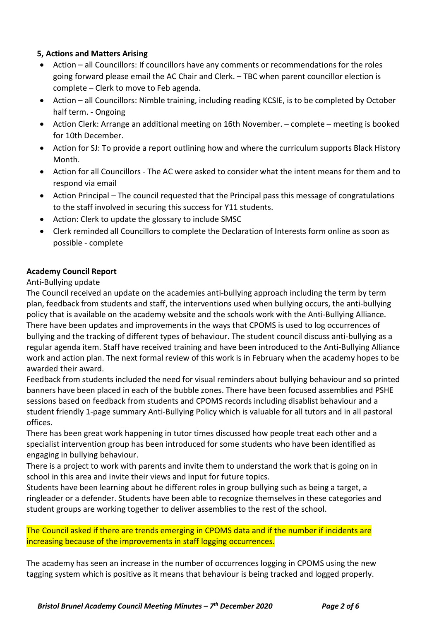## 5, Actions and Matters Arising

- Action all Councillors: If councillors have any comments or recommendations for the roles going forward please email the AC Chair and Clerk. – TBC when parent councillor election is complete – Clerk to move to Feb agenda.
- Action all Councillors: Nimble training, including reading KCSIE, is to be completed by October half term. - Ongoing
- Action Clerk: Arrange an additional meeting on 16th November. complete meeting is booked for 10th December.
- Action for SJ: To provide a report outlining how and where the curriculum supports Black History Month.
- Action for all Councillors The AC were asked to consider what the intent means for them and to respond via email
- Action Principal The council requested that the Principal pass this message of congratulations to the staff involved in securing this success for Y11 students.
- Action: Clerk to update the glossary to include SMSC
- Clerk reminded all Councillors to complete the Declaration of Interests form online as soon as possible - complete

# Academy Council Report

### Anti-Bullying update

The Council received an update on the academies anti-bullying approach including the term by term plan, feedback from students and staff, the interventions used when bullying occurs, the anti-bullying policy that is available on the academy website and the schools work with the Anti-Bullying Alliance. There have been updates and improvements in the ways that CPOMS is used to log occurrences of bullying and the tracking of different types of behaviour. The student council discuss anti-bullying as a regular agenda item. Staff have received training and have been introduced to the Anti-Bullying Alliance work and action plan. The next formal review of this work is in February when the academy hopes to be awarded their award.

Feedback from students included the need for visual reminders about bullying behaviour and so printed banners have been placed in each of the bubble zones. There have been focused assemblies and PSHE sessions based on feedback from students and CPOMS records including disablist behaviour and a student friendly 1-page summary Anti-Bullying Policy which is valuable for all tutors and in all pastoral offices.

There has been great work happening in tutor times discussed how people treat each other and a specialist intervention group has been introduced for some students who have been identified as engaging in bullying behaviour.

There is a project to work with parents and invite them to understand the work that is going on in school in this area and invite their views and input for future topics.

Students have been learning about he different roles in group bullying such as being a target, a ringleader or a defender. Students have been able to recognize themselves in these categories and student groups are working together to deliver assemblies to the rest of the school.

# The Council asked if there are trends emerging in CPOMS data and if the number if incidents are increasing because of the improvements in staff logging occurrences.

The academy has seen an increase in the number of occurrences logging in CPOMS using the new tagging system which is positive as it means that behaviour is being tracked and logged properly.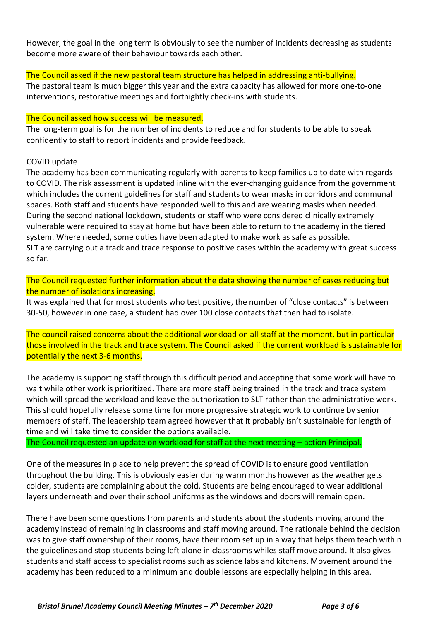However, the goal in the long term is obviously to see the number of incidents decreasing as students become more aware of their behaviour towards each other.

### The Council asked if the new pastoral team structure has helped in addressing anti-bullying.

The pastoral team is much bigger this year and the extra capacity has allowed for more one-to-one interventions, restorative meetings and fortnightly check-ins with students.

### The Council asked how success will be measured.

The long-term goal is for the number of incidents to reduce and for students to be able to speak confidently to staff to report incidents and provide feedback.

### COVID update

The academy has been communicating regularly with parents to keep families up to date with regards to COVID. The risk assessment is updated inline with the ever-changing guidance from the government which includes the current guidelines for staff and students to wear masks in corridors and communal spaces. Both staff and students have responded well to this and are wearing masks when needed. During the second national lockdown, students or staff who were considered clinically extremely vulnerable were required to stay at home but have been able to return to the academy in the tiered system. Where needed, some duties have been adapted to make work as safe as possible. SLT are carrying out a track and trace response to positive cases within the academy with great success so far.

The Council requested further information about the data showing the number of cases reducing but the number of isolations increasing.

It was explained that for most students who test positive, the number of "close contacts" is between 30-50, however in one case, a student had over 100 close contacts that then had to isolate.

The council raised concerns about the additional workload on all staff at the moment, but in particular those involved in the track and trace system. The Council asked if the current workload is sustainable for potentially the next 3-6 months.

The academy is supporting staff through this difficult period and accepting that some work will have to wait while other work is prioritized. There are more staff being trained in the track and trace system which will spread the workload and leave the authorization to SLT rather than the administrative work. This should hopefully release some time for more progressive strategic work to continue by senior members of staff. The leadership team agreed however that it probably isn't sustainable for length of time and will take time to consider the options available.

The Council requested an update on workload for staff at the next meeting – action Principal.

One of the measures in place to help prevent the spread of COVID is to ensure good ventilation throughout the building. This is obviously easier during warm months however as the weather gets colder, students are complaining about the cold. Students are being encouraged to wear additional layers underneath and over their school uniforms as the windows and doors will remain open.

There have been some questions from parents and students about the students moving around the academy instead of remaining in classrooms and staff moving around. The rationale behind the decision was to give staff ownership of their rooms, have their room set up in a way that helps them teach within the guidelines and stop students being left alone in classrooms whiles staff move around. It also gives students and staff access to specialist rooms such as science labs and kitchens. Movement around the academy has been reduced to a minimum and double lessons are especially helping in this area.

Bristol Brunel Academy Council Meeting Minutes –  $7<sup>th</sup>$  December 2020 Page 3 of 6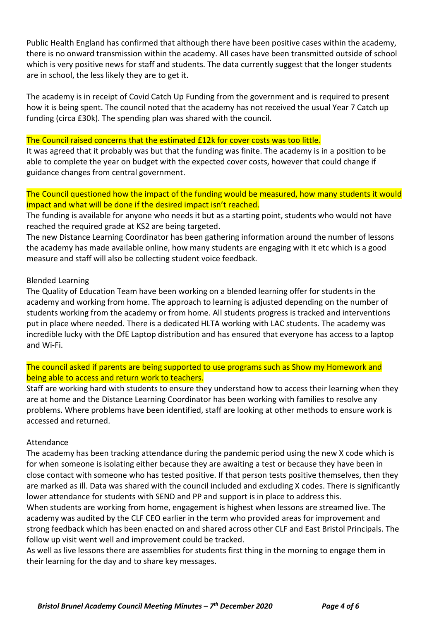Public Health England has confirmed that although there have been positive cases within the academy, there is no onward transmission within the academy. All cases have been transmitted outside of school which is very positive news for staff and students. The data currently suggest that the longer students are in school, the less likely they are to get it.

The academy is in receipt of Covid Catch Up Funding from the government and is required to present how it is being spent. The council noted that the academy has not received the usual Year 7 Catch up funding (circa £30k). The spending plan was shared with the council.

#### The Council raised concerns that the estimated £12k for cover costs was too little.

It was agreed that it probably was but that the funding was finite. The academy is in a position to be able to complete the year on budget with the expected cover costs, however that could change if guidance changes from central government.

### The Council questioned how the impact of the funding would be measured, how many students it would impact and what will be done if the desired impact isn't reached.

The funding is available for anyone who needs it but as a starting point, students who would not have reached the required grade at KS2 are being targeted.

The new Distance Learning Coordinator has been gathering information around the number of lessons the academy has made available online, how many students are engaging with it etc which is a good measure and staff will also be collecting student voice feedback.

#### Blended Learning

The Quality of Education Team have been working on a blended learning offer for students in the academy and working from home. The approach to learning is adjusted depending on the number of students working from the academy or from home. All students progress is tracked and interventions put in place where needed. There is a dedicated HLTA working with LAC students. The academy was incredible lucky with the DfE Laptop distribution and has ensured that everyone has access to a laptop and Wi-Fi.

# The council asked if parents are being supported to use programs such as Show my Homework and being able to access and return work to teachers.

Staff are working hard with students to ensure they understand how to access their learning when they are at home and the Distance Learning Coordinator has been working with families to resolve any problems. Where problems have been identified, staff are looking at other methods to ensure work is accessed and returned.

#### Attendance

The academy has been tracking attendance during the pandemic period using the new X code which is for when someone is isolating either because they are awaiting a test or because they have been in close contact with someone who has tested positive. If that person tests positive themselves, then they are marked as ill. Data was shared with the council included and excluding X codes. There is significantly lower attendance for students with SEND and PP and support is in place to address this.

When students are working from home, engagement is highest when lessons are streamed live. The academy was audited by the CLF CEO earlier in the term who provided areas for improvement and strong feedback which has been enacted on and shared across other CLF and East Bristol Principals. The follow up visit went well and improvement could be tracked.

As well as live lessons there are assemblies for students first thing in the morning to engage them in their learning for the day and to share key messages.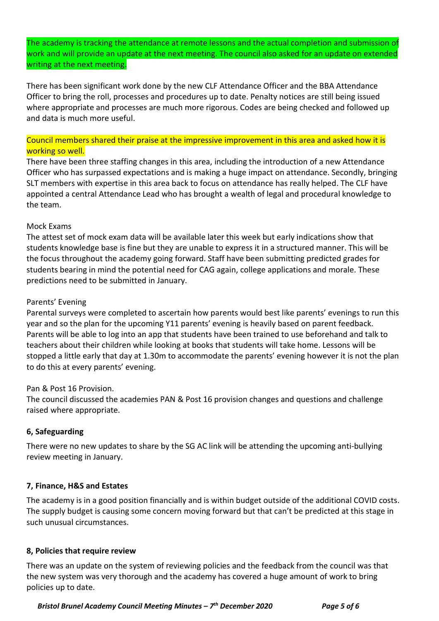The academy is tracking the attendance at remote lessons and the actual completion and submission of work and will provide an update at the next meeting. The council also asked for an update on extended writing at the next meeting.

There has been significant work done by the new CLF Attendance Officer and the BBA Attendance Officer to bring the roll, processes and procedures up to date. Penalty notices are still being issued where appropriate and processes are much more rigorous. Codes are being checked and followed up and data is much more useful.

# Council members shared their praise at the impressive improvement in this area and asked how it is working so well.

There have been three staffing changes in this area, including the introduction of a new Attendance Officer who has surpassed expectations and is making a huge impact on attendance. Secondly, bringing SLT members with expertise in this area back to focus on attendance has really helped. The CLF have appointed a central Attendance Lead who has brought a wealth of legal and procedural knowledge to the team.

### Mock Exams

The attest set of mock exam data will be available later this week but early indications show that students knowledge base is fine but they are unable to express it in a structured manner. This will be the focus throughout the academy going forward. Staff have been submitting predicted grades for students bearing in mind the potential need for CAG again, college applications and morale. These predictions need to be submitted in January.

### Parents' Evening

Parental surveys were completed to ascertain how parents would best like parents' evenings to run this year and so the plan for the upcoming Y11 parents' evening is heavily based on parent feedback. Parents will be able to log into an app that students have been trained to use beforehand and talk to teachers about their children while looking at books that students will take home. Lessons will be stopped a little early that day at 1.30m to accommodate the parents' evening however it is not the plan to do this at every parents' evening.

#### Pan & Post 16 Provision.

The council discussed the academies PAN & Post 16 provision changes and questions and challenge raised where appropriate.

#### 6, Safeguarding

There were no new updates to share by the SG AC link will be attending the upcoming anti-bullying review meeting in January.

#### 7, Finance, H&S and Estates

The academy is in a good position financially and is within budget outside of the additional COVID costs. The supply budget is causing some concern moving forward but that can't be predicted at this stage in such unusual circumstances.

#### 8, Policies that require review

There was an update on the system of reviewing policies and the feedback from the council was that the new system was very thorough and the academy has covered a huge amount of work to bring policies up to date.

Bristol Brunel Academy Council Meeting Minutes –  $7<sup>th</sup>$  December 2020 Page 5 of 6